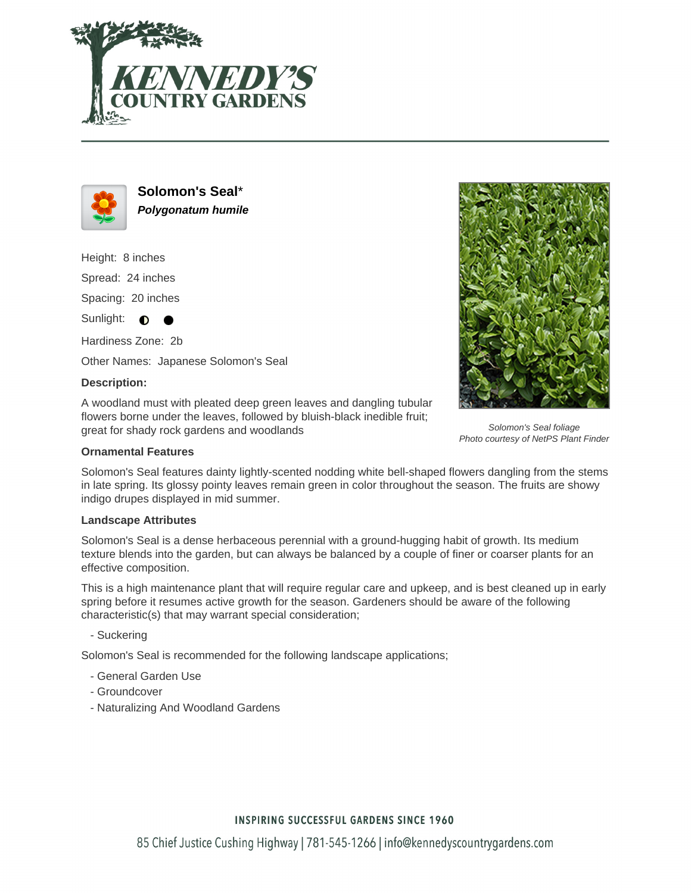



**Solomon's Seal**\* **Polygonatum humile**

Height: 8 inches Spread: 24 inches Spacing: 20 inches Sunlight:  $\bigcirc$ 

Hardiness Zone: 2b

Other Names: Japanese Solomon's Seal

### **Description:**

A woodland must with pleated deep green leaves and dangling tubular flowers borne under the leaves, followed by bluish-black inedible fruit; great for shady rock gardens and woodlands

### **Ornamental Features**

Solomon's Seal features dainty lightly-scented nodding white bell-shaped flowers dangling from the stems in late spring. Its glossy pointy leaves remain green in color throughout the season. The fruits are showy indigo drupes displayed in mid summer.

### **Landscape Attributes**

Solomon's Seal is a dense herbaceous perennial with a ground-hugging habit of growth. Its medium texture blends into the garden, but can always be balanced by a couple of finer or coarser plants for an effective composition.

This is a high maintenance plant that will require regular care and upkeep, and is best cleaned up in early spring before it resumes active growth for the season. Gardeners should be aware of the following characteristic(s) that may warrant special consideration;

- Suckering

Solomon's Seal is recommended for the following landscape applications;

- General Garden Use
- Groundcover
- Naturalizing And Woodland Gardens



Solomon's Seal foliage Photo courtesy of NetPS Plant Finder

# **INSPIRING SUCCESSFUL GARDENS SINCE 1960**